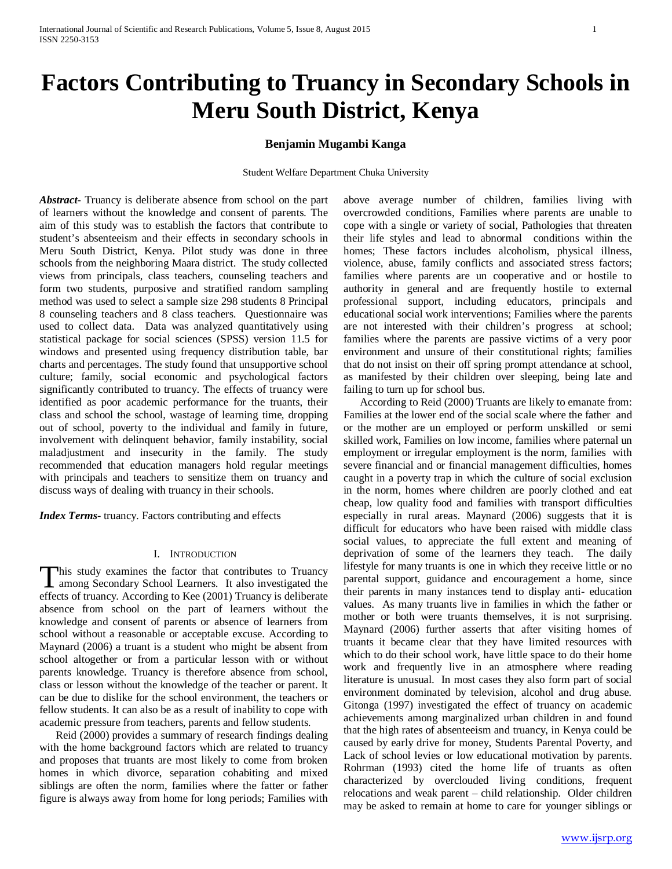# **Factors Contributing to Truancy in Secondary Schools in Meru South District, Kenya**

# **Benjamin Mugambi Kanga**

Student Welfare Department Chuka University

*Abstract***-** Truancy is deliberate absence from school on the part of learners without the knowledge and consent of parents. The aim of this study was to establish the factors that contribute to student's absenteeism and their effects in secondary schools in Meru South District, Kenya. Pilot study was done in three schools from the neighboring Maara district. The study collected views from principals, class teachers, counseling teachers and form two students, purposive and stratified random sampling method was used to select a sample size 298 students 8 Principal 8 counseling teachers and 8 class teachers. Questionnaire was used to collect data. Data was analyzed quantitatively using statistical package for social sciences (SPSS) version 11.5 for windows and presented using frequency distribution table, bar charts and percentages. The study found that unsupportive school culture; family, social economic and psychological factors significantly contributed to truancy. The effects of truancy were identified as poor academic performance for the truants, their class and school the school, wastage of learning time, dropping out of school, poverty to the individual and family in future, involvement with delinquent behavior, family instability, social maladjustment and insecurity in the family. The study recommended that education managers hold regular meetings with principals and teachers to sensitize them on truancy and discuss ways of dealing with truancy in their schools.

*Index Terms*- truancy. Factors contributing and effects

## I. INTRODUCTION

his study examines the factor that contributes to Truancy This study examines the factor that contributes to Truancy<br>among Secondary School Learners. It also investigated the effects of truancy. According to Kee (2001) Truancy is deliberate absence from school on the part of learners without the knowledge and consent of parents or absence of learners from school without a reasonable or acceptable excuse. According to Maynard (2006) a truant is a student who might be absent from school altogether or from a particular lesson with or without parents knowledge. Truancy is therefore absence from school, class or lesson without the knowledge of the teacher or parent. It can be due to dislike for the school environment, the teachers or fellow students. It can also be as a result of inability to cope with academic pressure from teachers, parents and fellow students.

 Reid (2000) provides a summary of research findings dealing with the home background factors which are related to truancy and proposes that truants are most likely to come from broken homes in which divorce, separation cohabiting and mixed siblings are often the norm, families where the fatter or father figure is always away from home for long periods; Families with above average number of children, families living with overcrowded conditions, Families where parents are unable to cope with a single or variety of social, Pathologies that threaten their life styles and lead to abnormal conditions within the homes; These factors includes alcoholism, physical illness, violence, abuse, family conflicts and associated stress factors; families where parents are un cooperative and or hostile to authority in general and are frequently hostile to external professional support, including educators, principals and educational social work interventions; Families where the parents are not interested with their children's progress at school; families where the parents are passive victims of a very poor environment and unsure of their constitutional rights; families that do not insist on their off spring prompt attendance at school, as manifested by their children over sleeping, being late and failing to turn up for school bus.

 According to Reid (2000) Truants are likely to emanate from: Families at the lower end of the social scale where the father and or the mother are un employed or perform unskilled or semi skilled work, Families on low income, families where paternal un employment or irregular employment is the norm, families with severe financial and or financial management difficulties, homes caught in a poverty trap in which the culture of social exclusion in the norm, homes where children are poorly clothed and eat cheap, low quality food and families with transport difficulties especially in rural areas. Maynard (2006) suggests that it is difficult for educators who have been raised with middle class social values, to appreciate the full extent and meaning of deprivation of some of the learners they teach. The daily lifestyle for many truants is one in which they receive little or no parental support, guidance and encouragement a home, since their parents in many instances tend to display anti- education values. As many truants live in families in which the father or mother or both were truants themselves, it is not surprising. Maynard (2006) further asserts that after visiting homes of truants it became clear that they have limited resources with which to do their school work, have little space to do their home work and frequently live in an atmosphere where reading literature is unusual. In most cases they also form part of social environment dominated by television, alcohol and drug abuse. Gitonga (1997) investigated the effect of truancy on academic achievements among marginalized urban children in and found that the high rates of absenteeism and truancy, in Kenya could be caused by early drive for money, Students Parental Poverty, and Lack of school levies or low educational motivation by parents. Rohrman (1993) cited the home life of truants as often characterized by overclouded living conditions, frequent relocations and weak parent – child relationship. Older children may be asked to remain at home to care for younger siblings or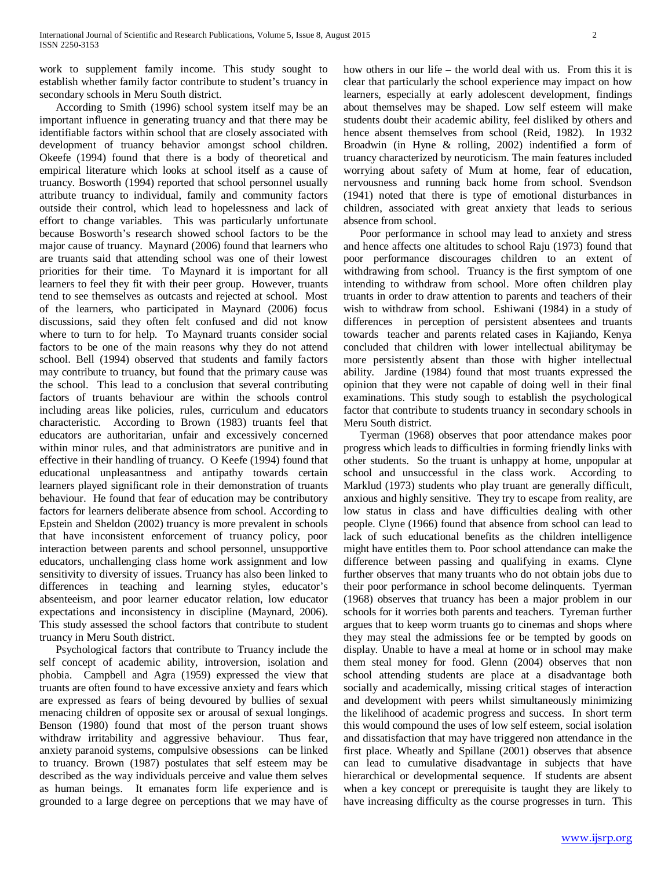work to supplement family income. This study sought to establish whether family factor contribute to student's truancy in secondary schools in Meru South district.

 According to Smith (1996) school system itself may be an important influence in generating truancy and that there may be identifiable factors within school that are closely associated with development of truancy behavior amongst school children. Okeefe (1994) found that there is a body of theoretical and empirical literature which looks at school itself as a cause of truancy. Bosworth (1994) reported that school personnel usually attribute truancy to individual, family and community factors outside their control, which lead to hopelessness and lack of effort to change variables. This was particularly unfortunate because Bosworth's research showed school factors to be the major cause of truancy. Maynard (2006) found that learners who are truants said that attending school was one of their lowest priorities for their time. To Maynard it is important for all learners to feel they fit with their peer group. However, truants tend to see themselves as outcasts and rejected at school. Most of the learners, who participated in Maynard (2006) focus discussions, said they often felt confused and did not know where to turn to for help. To Maynard truants consider social factors to be one of the main reasons why they do not attend school. Bell (1994) observed that students and family factors may contribute to truancy, but found that the primary cause was the school. This lead to a conclusion that several contributing factors of truants behaviour are within the schools control including areas like policies, rules, curriculum and educators characteristic. According to Brown (1983) truants feel that educators are authoritarian, unfair and excessively concerned within minor rules, and that administrators are punitive and in effective in their handling of truancy. O Keefe (1994) found that educational unpleasantness and antipathy towards certain learners played significant role in their demonstration of truants behaviour. He found that fear of education may be contributory factors for learners deliberate absence from school. According to Epstein and Sheldon (2002) truancy is more prevalent in schools that have inconsistent enforcement of truancy policy, poor interaction between parents and school personnel, unsupportive educators, unchallenging class home work assignment and low sensitivity to diversity of issues. Truancy has also been linked to differences in teaching and learning styles, educator's absenteeism, and poor learner educator relation, low educator expectations and inconsistency in discipline (Maynard, 2006). This study assessed the school factors that contribute to student truancy in Meru South district.

 Psychological factors that contribute to Truancy include the self concept of academic ability, introversion, isolation and phobia. Campbell and Agra (1959) expressed the view that truants are often found to have excessive anxiety and fears which are expressed as fears of being devoured by bullies of sexual menacing children of opposite sex or arousal of sexual longings. Benson (1980) found that most of the person truant shows withdraw irritability and aggressive behaviour. Thus fear, anxiety paranoid systems, compulsive obsessions can be linked to truancy. Brown (1987) postulates that self esteem may be described as the way individuals perceive and value them selves as human beings. It emanates form life experience and is grounded to a large degree on perceptions that we may have of how others in our life – the world deal with us. From this it is clear that particularly the school experience may impact on how learners, especially at early adolescent development, findings about themselves may be shaped. Low self esteem will make students doubt their academic ability, feel disliked by others and hence absent themselves from school (Reid, 1982). In 1932 Broadwin (in Hyne & rolling, 2002) indentified a form of truancy characterized by neuroticism. The main features included worrying about safety of Mum at home, fear of education, nervousness and running back home from school. Svendson (1941) noted that there is type of emotional disturbances in children, associated with great anxiety that leads to serious absence from school.

 Poor performance in school may lead to anxiety and stress and hence affects one altitudes to school Raju (1973) found that poor performance discourages children to an extent of withdrawing from school. Truancy is the first symptom of one intending to withdraw from school. More often children play truants in order to draw attention to parents and teachers of their wish to withdraw from school. Eshiwani (1984) in a study of differences in perception of persistent absentees and truants towards teacher and parents related cases in Kajiando, Kenya concluded that children with lower intellectual abilitymay be more persistently absent than those with higher intellectual ability. Jardine (1984) found that most truants expressed the opinion that they were not capable of doing well in their final examinations. This study sough to establish the psychological factor that contribute to students truancy in secondary schools in Meru South district.

 Tyerman (1968) observes that poor attendance makes poor progress which leads to difficulties in forming friendly links with other students. So the truant is unhappy at home, unpopular at school and unsuccessful in the class work. According to Marklud (1973) students who play truant are generally difficult, anxious and highly sensitive. They try to escape from reality, are low status in class and have difficulties dealing with other people. Clyne (1966) found that absence from school can lead to lack of such educational benefits as the children intelligence might have entitles them to. Poor school attendance can make the difference between passing and qualifying in exams. Clyne further observes that many truants who do not obtain jobs due to their poor performance in school become delinquents. Tyerman (1968) observes that truancy has been a major problem in our schools for it worries both parents and teachers. Tyreman further argues that to keep worm truants go to cinemas and shops where they may steal the admissions fee or be tempted by goods on display. Unable to have a meal at home or in school may make them steal money for food. Glenn (2004) observes that non school attending students are place at a disadvantage both socially and academically, missing critical stages of interaction and development with peers whilst simultaneously minimizing the likelihood of academic progress and success. In short term this would compound the uses of low self esteem, social isolation and dissatisfaction that may have triggered non attendance in the first place. Wheatly and Spillane (2001) observes that absence can lead to cumulative disadvantage in subjects that have hierarchical or developmental sequence. If students are absent when a key concept or prerequisite is taught they are likely to have increasing difficulty as the course progresses in turn. This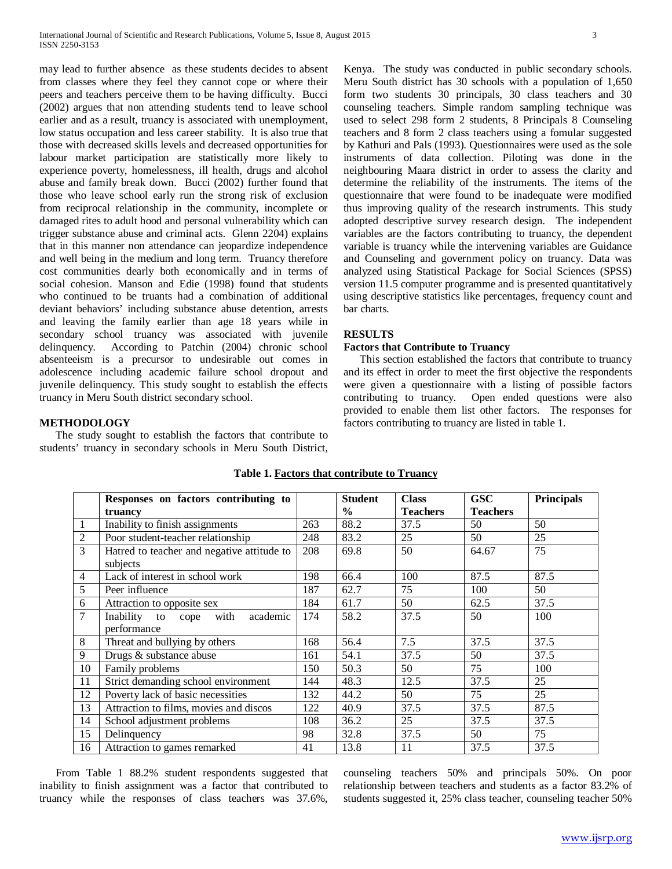may lead to further absence as these students decides to absent from classes where they feel they cannot cope or where their peers and teachers perceive them to be having difficulty. Bucci (2002) argues that non attending students tend to leave school earlier and as a result, truancy is associated with unemployment, low status occupation and less career stability. It is also true that those with decreased skills levels and decreased opportunities for labour market participation are statistically more likely to experience poverty, homelessness, ill health, drugs and alcohol abuse and family break down. Bucci (2002) further found that those who leave school early run the strong risk of exclusion from reciprocal relationship in the community, incomplete or damaged rites to adult hood and personal vulnerability which can trigger substance abuse and criminal acts. Glenn 2204) explains that in this manner non attendance can jeopardize independence and well being in the medium and long term. Truancy therefore cost communities dearly both economically and in terms of social cohesion. Manson and Edie (1998) found that students who continued to be truants had a combination of additional deviant behaviors' including substance abuse detention, arrests and leaving the family earlier than age 18 years while in secondary school truancy was associated with juvenile delinquency. According to Patchin (2004) chronic school absenteeism is a precursor to undesirable out comes in adolescence including academic failure school dropout and juvenile delinquency. This study sought to establish the effects truancy in Meru South district secondary school.

Kenya. The study was conducted in public secondary schools. Meru South district has 30 schools with a population of 1,650 form two students 30 principals, 30 class teachers and 30 counseling teachers. Simple random sampling technique was used to select 298 form 2 students, 8 Principals 8 Counseling teachers and 8 form 2 class teachers using a fomular suggested by Kathuri and Pals (1993). Questionnaires were used as the sole instruments of data collection. Piloting was done in the neighbouring Maara district in order to assess the clarity and determine the reliability of the instruments. The items of the questionnaire that were found to be inadequate were modified thus improving quality of the research instruments. This study adopted descriptive survey research design. The independent variables are the factors contributing to truancy, the dependent variable is truancy while the intervening variables are Guidance and Counseling and government policy on truancy. Data was analyzed using Statistical Package for Social Sciences (SPSS) version 11.5 computer programme and is presented quantitatively using descriptive statistics like percentages, frequency count and bar charts.

# **RESULTS**

#### **Factors that Contribute to Truancy**

 This section established the factors that contribute to truancy and its effect in order to meet the first objective the respondents were given a questionnaire with a listing of possible factors contributing to truancy. Open ended questions were also provided to enable them list other factors. The responses for factors contributing to truancy are listed in table 1.

### **METHODOLOGY**

 The study sought to establish the factors that contribute to students' truancy in secondary schools in Meru South District,

|                | Responses on factors contributing to                   |     | <b>Student</b> | <b>Class</b>    | <b>GSC</b>      | <b>Principals</b> |
|----------------|--------------------------------------------------------|-----|----------------|-----------------|-----------------|-------------------|
|                | truancy                                                |     | $\frac{6}{9}$  | <b>Teachers</b> | <b>Teachers</b> |                   |
| 1              | Inability to finish assignments                        | 263 | 88.2           | 37.5            | 50              | 50                |
| $\overline{2}$ | Poor student-teacher relationship                      | 248 | 83.2           | 25              | 50              | 25                |
| 3              | Hatred to teacher and negative attitude to<br>subjects | 208 | 69.8           | 50              | 64.67           | 75                |
| $\overline{4}$ | Lack of interest in school work                        | 198 | 66.4           | 100             | 87.5            | 87.5              |
| 5              | Peer influence                                         | 187 | 62.7           | 75              | 100             | 50                |
| $\sqrt{6}$     | Attraction to opposite sex                             | 184 | 61.7           | 50              | 62.5            | 37.5              |
| $\overline{7}$ | with<br>academic<br>Inability to cope                  | 174 | 58.2           | 37.5            | 50              | 100               |
|                | performance                                            |     |                |                 |                 |                   |
| 8              | Threat and bullying by others                          | 168 | 56.4           | 7.5             | 37.5            | 37.5              |
| 9              | Drugs & substance abuse                                | 161 | 54.1           | 37.5            | 50              | 37.5              |
| 10             | Family problems                                        | 150 | 50.3           | 50              | 75              | 100               |
| 11             | Strict demanding school environment                    | 144 | 48.3           | 12.5            | 37.5            | 25                |
| 12             | Poverty lack of basic necessities                      | 132 | 44.2           | 50              | 75              | 25                |
| 13             | Attraction to films, movies and discos                 | 122 | 40.9           | 37.5            | 37.5            | 87.5              |
| 14             | School adjustment problems                             | 108 | 36.2           | 25              | 37.5            | 37.5              |
| 15             | Delinquency                                            | 98  | 32.8           | 37.5            | 50              | 75                |
| 16             | Attraction to games remarked                           | 41  | 13.8           | 11              | 37.5            | 37.5              |

## **Table 1. Factors that contribute to Truancy**

 From Table 1 88.2% student respondents suggested that inability to finish assignment was a factor that contributed to truancy while the responses of class teachers was 37.6%,

counseling teachers 50% and principals 50%. On poor relationship between teachers and students as a factor 83.2% of students suggested it, 25% class teacher, counseling teacher 50%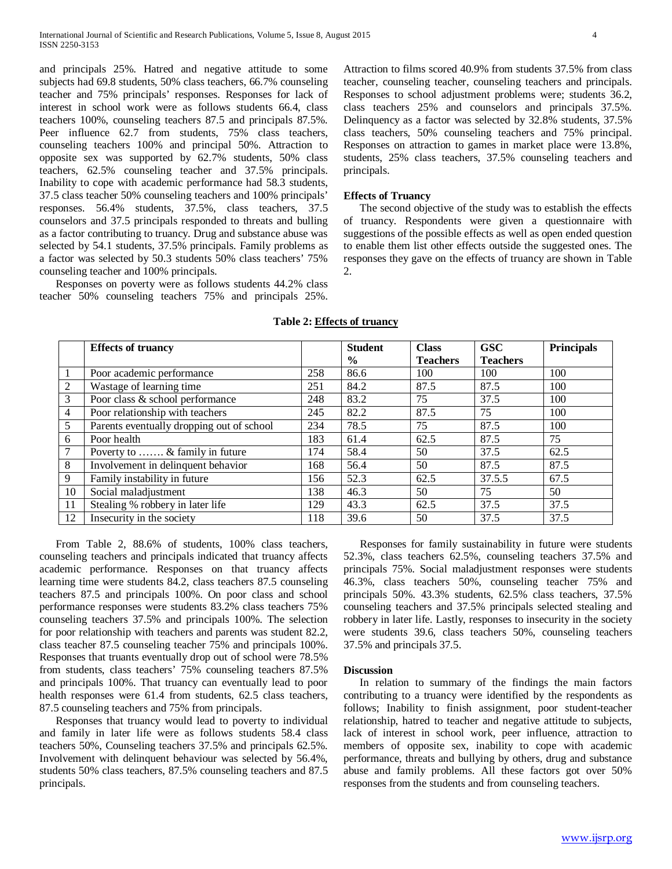and principals 25%. Hatred and negative attitude to some subjects had 69.8 students, 50% class teachers, 66.7% counseling teacher and 75% principals' responses. Responses for lack of interest in school work were as follows students 66.4, class teachers 100%, counseling teachers 87.5 and principals 87.5%. Peer influence 62.7 from students, 75% class teachers, counseling teachers 100% and principal 50%. Attraction to opposite sex was supported by 62.7% students, 50% class teachers, 62.5% counseling teacher and 37.5% principals. Inability to cope with academic performance had 58.3 students, 37.5 class teacher 50% counseling teachers and 100% principals' responses. 56.4% students, 37.5%, class teachers, 37.5 counselors and 37.5 principals responded to threats and bulling as a factor contributing to truancy. Drug and substance abuse was selected by 54.1 students, 37.5% principals. Family problems as a factor was selected by 50.3 students 50% class teachers' 75% counseling teacher and 100% principals.

 Responses on poverty were as follows students 44.2% class teacher 50% counseling teachers 75% and principals 25%. Attraction to films scored 40.9% from students 37.5% from class teacher, counseling teacher, counseling teachers and principals. Responses to school adjustment problems were; students 36.2, class teachers 25% and counselors and principals 37.5%. Delinquency as a factor was selected by 32.8% students, 37.5% class teachers, 50% counseling teachers and 75% principal. Responses on attraction to games in market place were 13.8%, students, 25% class teachers, 37.5% counseling teachers and principals.

## **Effects of Truancy**

 The second objective of the study was to establish the effects of truancy. Respondents were given a questionnaire with suggestions of the possible effects as well as open ended question to enable them list other effects outside the suggested ones. The responses they gave on the effects of truancy are shown in Table 2.

|                | <b>Effects of truancy</b>                 |     | <b>Student</b> | <b>Class</b>    | <b>GSC</b>      | <b>Principals</b> |
|----------------|-------------------------------------------|-----|----------------|-----------------|-----------------|-------------------|
|                |                                           |     | $\frac{6}{9}$  | <b>Teachers</b> | <b>Teachers</b> |                   |
| $\overline{1}$ | Poor academic performance                 | 258 | 86.6           | 100             | 100             | 100               |
| 2              | Wastage of learning time                  | 251 | 84.2           | 87.5            | 87.5            | 100               |
| 3              | Poor class & school performance           | 248 | 83.2           | 75              | 37.5            | 100               |
| $\overline{4}$ | Poor relationship with teachers           | 245 | 82.2           | 87.5            | 75              | 100               |
| 5              | Parents eventually dropping out of school | 234 | 78.5           | 75              | 87.5            | 100               |
| 6              | Poor health                               | 183 | 61.4           | 62.5            | 87.5            | 75                |
| $\tau$         | Poverty to  & family in future            | 174 | 58.4           | 50              | 37.5            | 62.5              |
| 8              | Involvement in delinquent behavior        | 168 | 56.4           | 50              | 87.5            | 87.5              |
| 9              | Family instability in future              | 156 | 52.3           | 62.5            | 37.5.5          | 67.5              |
| 10             | Social maladjustment                      | 138 | 46.3           | 50              | 75              | 50                |
| 11             | Stealing % robbery in later life          | 129 | 43.3           | 62.5            | 37.5            | 37.5              |
| 12             | Insecurity in the society                 | 118 | 39.6           | 50              | 37.5            | 37.5              |

## **Table 2: Effects of truancy**

 From Table 2, 88.6% of students, 100% class teachers, counseling teachers and principals indicated that truancy affects academic performance. Responses on that truancy affects learning time were students 84.2, class teachers 87.5 counseling teachers 87.5 and principals 100%. On poor class and school performance responses were students 83.2% class teachers 75% counseling teachers 37.5% and principals 100%. The selection for poor relationship with teachers and parents was student 82.2, class teacher 87.5 counseling teacher 75% and principals 100%. Responses that truants eventually drop out of school were 78.5% from students, class teachers' 75% counseling teachers 87.5% and principals 100%. That truancy can eventually lead to poor health responses were 61.4 from students, 62.5 class teachers, 87.5 counseling teachers and 75% from principals.

 Responses that truancy would lead to poverty to individual and family in later life were as follows students 58.4 class teachers 50%, Counseling teachers 37.5% and principals 62.5%. Involvement with delinquent behaviour was selected by 56.4%, students 50% class teachers, 87.5% counseling teachers and 87.5 principals.

 Responses for family sustainability in future were students 52.3%, class teachers 62.5%, counseling teachers 37.5% and principals 75%. Social maladjustment responses were students 46.3%, class teachers 50%, counseling teacher 75% and principals 50%. 43.3% students, 62.5% class teachers, 37.5% counseling teachers and 37.5% principals selected stealing and robbery in later life. Lastly, responses to insecurity in the society were students 39.6, class teachers 50%, counseling teachers 37.5% and principals 37.5.

#### **Discussion**

 In relation to summary of the findings the main factors contributing to a truancy were identified by the respondents as follows; Inability to finish assignment, poor student-teacher relationship, hatred to teacher and negative attitude to subjects, lack of interest in school work, peer influence, attraction to members of opposite sex, inability to cope with academic performance, threats and bullying by others, drug and substance abuse and family problems. All these factors got over 50% responses from the students and from counseling teachers.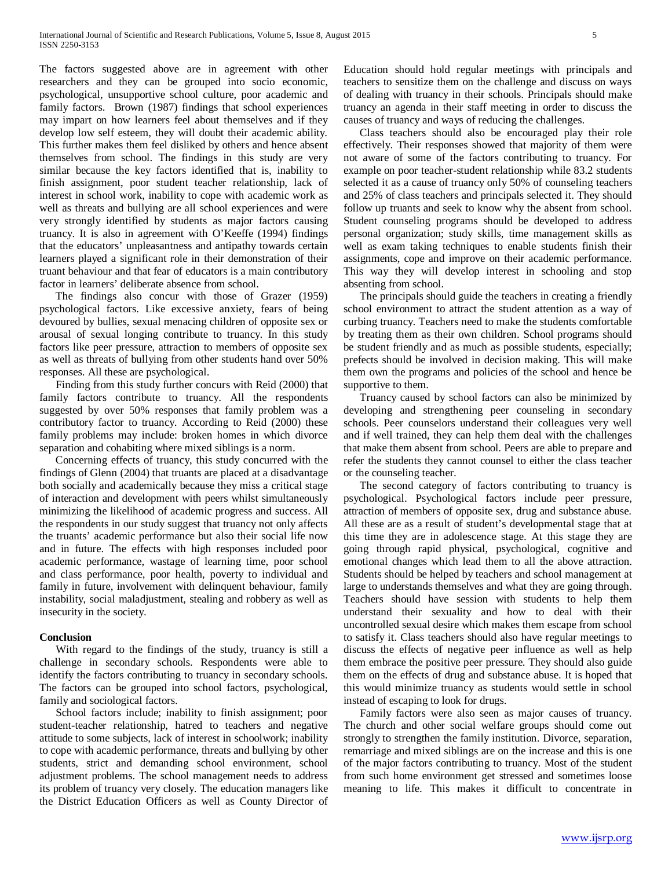The factors suggested above are in agreement with other researchers and they can be grouped into socio economic, psychological, unsupportive school culture, poor academic and family factors. Brown (1987) findings that school experiences may impart on how learners feel about themselves and if they develop low self esteem, they will doubt their academic ability. This further makes them feel disliked by others and hence absent themselves from school. The findings in this study are very similar because the key factors identified that is, inability to finish assignment, poor student teacher relationship, lack of interest in school work, inability to cope with academic work as well as threats and bullying are all school experiences and were very strongly identified by students as major factors causing truancy. It is also in agreement with O'Keeffe (1994) findings that the educators' unpleasantness and antipathy towards certain learners played a significant role in their demonstration of their truant behaviour and that fear of educators is a main contributory factor in learners' deliberate absence from school.

 The findings also concur with those of Grazer (1959) psychological factors. Like excessive anxiety, fears of being devoured by bullies, sexual menacing children of opposite sex or arousal of sexual longing contribute to truancy. In this study factors like peer pressure, attraction to members of opposite sex as well as threats of bullying from other students hand over 50% responses. All these are psychological.

 Finding from this study further concurs with Reid (2000) that family factors contribute to truancy. All the respondents suggested by over 50% responses that family problem was a contributory factor to truancy. According to Reid (2000) these family problems may include: broken homes in which divorce separation and cohabiting where mixed siblings is a norm.

 Concerning effects of truancy, this study concurred with the findings of Glenn (2004) that truants are placed at a disadvantage both socially and academically because they miss a critical stage of interaction and development with peers whilst simultaneously minimizing the likelihood of academic progress and success. All the respondents in our study suggest that truancy not only affects the truants' academic performance but also their social life now and in future. The effects with high responses included poor academic performance, wastage of learning time, poor school and class performance, poor health, poverty to individual and family in future, involvement with delinquent behaviour, family instability, social maladjustment, stealing and robbery as well as insecurity in the society.

#### **Conclusion**

 With regard to the findings of the study, truancy is still a challenge in secondary schools. Respondents were able to identify the factors contributing to truancy in secondary schools. The factors can be grouped into school factors, psychological, family and sociological factors.

 School factors include; inability to finish assignment; poor student-teacher relationship, hatred to teachers and negative attitude to some subjects, lack of interest in schoolwork; inability to cope with academic performance, threats and bullying by other students, strict and demanding school environment, school adjustment problems. The school management needs to address its problem of truancy very closely. The education managers like the District Education Officers as well as County Director of Education should hold regular meetings with principals and teachers to sensitize them on the challenge and discuss on ways of dealing with truancy in their schools. Principals should make truancy an agenda in their staff meeting in order to discuss the causes of truancy and ways of reducing the challenges.

 Class teachers should also be encouraged play their role effectively. Their responses showed that majority of them were not aware of some of the factors contributing to truancy. For example on poor teacher-student relationship while 83.2 students selected it as a cause of truancy only 50% of counseling teachers and 25% of class teachers and principals selected it. They should follow up truants and seek to know why the absent from school. Student counseling programs should be developed to address personal organization; study skills, time management skills as well as exam taking techniques to enable students finish their assignments, cope and improve on their academic performance. This way they will develop interest in schooling and stop absenting from school.

 The principals should guide the teachers in creating a friendly school environment to attract the student attention as a way of curbing truancy. Teachers need to make the students comfortable by treating them as their own children. School programs should be student friendly and as much as possible students, especially; prefects should be involved in decision making. This will make them own the programs and policies of the school and hence be supportive to them.

 Truancy caused by school factors can also be minimized by developing and strengthening peer counseling in secondary schools. Peer counselors understand their colleagues very well and if well trained, they can help them deal with the challenges that make them absent from school. Peers are able to prepare and refer the students they cannot counsel to either the class teacher or the counseling teacher.

 The second category of factors contributing to truancy is psychological. Psychological factors include peer pressure, attraction of members of opposite sex, drug and substance abuse. All these are as a result of student's developmental stage that at this time they are in adolescence stage. At this stage they are going through rapid physical, psychological, cognitive and emotional changes which lead them to all the above attraction. Students should be helped by teachers and school management at large to understands themselves and what they are going through. Teachers should have session with students to help them understand their sexuality and how to deal with their uncontrolled sexual desire which makes them escape from school to satisfy it. Class teachers should also have regular meetings to discuss the effects of negative peer influence as well as help them embrace the positive peer pressure. They should also guide them on the effects of drug and substance abuse. It is hoped that this would minimize truancy as students would settle in school instead of escaping to look for drugs.

 Family factors were also seen as major causes of truancy. The church and other social welfare groups should come out strongly to strengthen the family institution. Divorce, separation, remarriage and mixed siblings are on the increase and this is one of the major factors contributing to truancy. Most of the student from such home environment get stressed and sometimes loose meaning to life. This makes it difficult to concentrate in